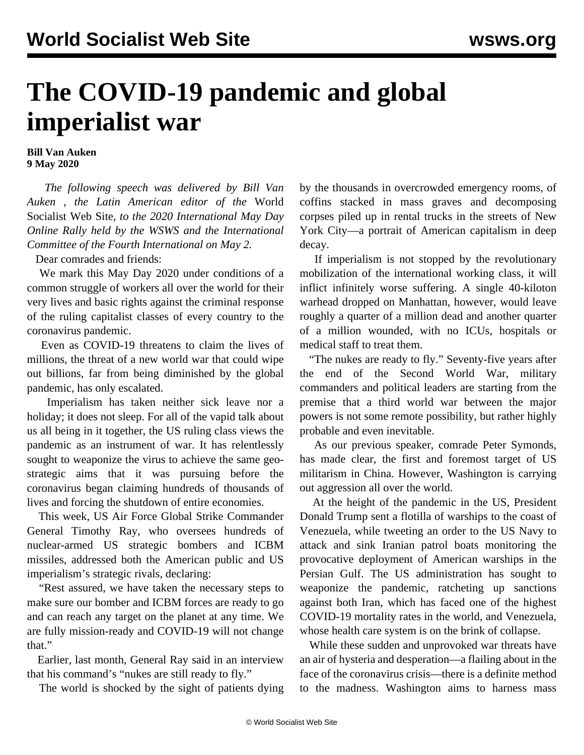## **The COVID-19 pandemic and global imperialist war**

## **Bill Van Auken 9 May 2020**

 *The following speech was delivered by Bill Van Auken , the Latin American editor of the* World Socialist Web Site*, to the 2020 International May Day Online Rally held by the WSWS and the International Committee of the Fourth International on May 2.*

Dear comrades and friends:

 We mark this May Day 2020 under conditions of a common struggle of workers all over the world for their very lives and basic rights against the criminal response of the ruling capitalist classes of every country to the coronavirus pandemic.

 Even as COVID-19 threatens to claim the lives of millions, the threat of a new world war that could wipe out billions, far from being diminished by the global pandemic, has only escalated.

 Imperialism has taken neither sick leave nor a holiday; it does not sleep. For all of the vapid talk about us all being in it together, the US ruling class views the pandemic as an instrument of war. It has relentlessly sought to weaponize the virus to achieve the same geostrategic aims that it was pursuing before the coronavirus began claiming hundreds of thousands of lives and forcing the shutdown of entire economies.

 This week, US Air Force Global Strike Commander General Timothy Ray, who oversees hundreds of nuclear-armed US strategic bombers and ICBM missiles, addressed both the American public and US imperialism's strategic rivals, declaring:

 "Rest assured, we have taken the necessary steps to make sure our bomber and ICBM forces are ready to go and can reach any target on the planet at any time. We are fully mission-ready and COVID-19 will not change that."

 Earlier, last month, General Ray said in an interview that his command's "nukes are still ready to fly."

The world is shocked by the sight of patients dying

by the thousands in overcrowded emergency rooms, of coffins stacked in mass graves and decomposing corpses piled up in rental trucks in the streets of New York City—a portrait of American capitalism in deep decay.

 If imperialism is not stopped by the revolutionary mobilization of the international working class, it will inflict infinitely worse suffering. A single 40-kiloton warhead dropped on Manhattan, however, would leave roughly a quarter of a million dead and another quarter of a million wounded, with no ICUs, hospitals or medical staff to treat them.

 "The nukes are ready to fly." Seventy-five years after the end of the Second World War, military commanders and political leaders are starting from the premise that a third world war between the major powers is not some remote possibility, but rather highly probable and even inevitable.

 As our previous speaker, comrade Peter Symonds, has made clear, the first and foremost target of US militarism in China. However, Washington is carrying out aggression all over the world.

 At the height of the pandemic in the US, President Donald Trump sent a flotilla of warships to the coast of Venezuela, while tweeting an order to the US Navy to attack and sink Iranian patrol boats monitoring the provocative deployment of American warships in the Persian Gulf. The US administration has sought to weaponize the pandemic, ratcheting up sanctions against both Iran, which has faced one of the highest COVID-19 mortality rates in the world, and Venezuela, whose health care system is on the brink of collapse.

 While these sudden and unprovoked war threats have an air of hysteria and desperation—a flailing about in the face of the coronavirus crisis—there is a definite method to the madness. Washington aims to harness mass